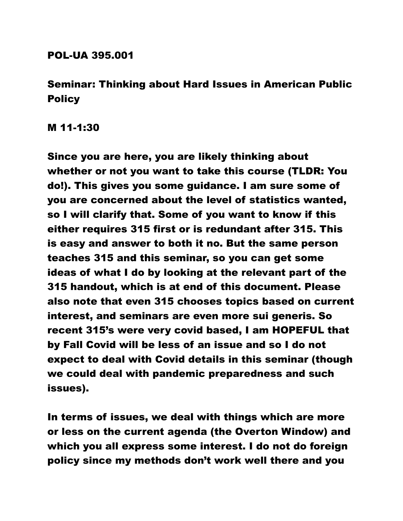## POL-UA 395.001

## Seminar: Thinking about Hard Issues in American Public **Policy**

M 11-1:30

Since you are here, you are likely thinking about whether or not you want to take this course (TLDR: You do!). This gives you some guidance. I am sure some of you are concerned about the level of statistics wanted, so I will clarify that. Some of you want to know if this either requires 315 first or is redundant after 315. This is easy and answer to both it no. But the same person teaches 315 and this seminar, so you can get some ideas of what I do by looking at the relevant part of the 315 handout, which is at end of this document. Please also note that even 315 chooses topics based on current interest, and seminars are even more sui generis. So recent 315's were very covid based, I am HOPEFUL that by Fall Covid will be less of an issue and so I do not expect to deal with Covid details in this seminar (though we could deal with pandemic preparedness and such issues).

In terms of issues, we deal with things which are more or less on the current agenda (the Overton Window) and which you all express some interest. I do not do foreign policy since my methods don't work well there and you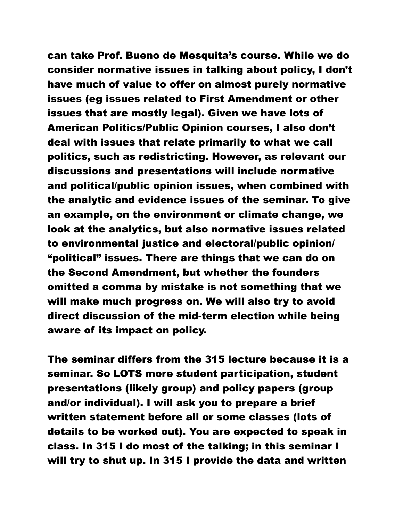can take Prof. Bueno de Mesquita's course. While we do consider normative issues in talking about policy, I don't have much of value to offer on almost purely normative issues (eg issues related to First Amendment or other issues that are mostly legal). Given we have lots of American Politics/Public Opinion courses, I also don't deal with issues that relate primarily to what we call politics, such as redistricting. However, as relevant our discussions and presentations will include normative and political/public opinion issues, when combined with the analytic and evidence issues of the seminar. To give an example, on the environment or climate change, we look at the analytics, but also normative issues related to environmental justice and electoral/public opinion/ "political" issues. There are things that we can do on the Second Amendment, but whether the founders omitted a comma by mistake is not something that we will make much progress on. We will also try to avoid direct discussion of the mid-term election while being aware of its impact on policy.

The seminar differs from the 315 lecture because it is a seminar. So LOTS more student participation, student presentations (likely group) and policy papers (group and/or individual). I will ask you to prepare a brief written statement before all or some classes (lots of details to be worked out). You are expected to speak in class. In 315 I do most of the talking; in this seminar I will try to shut up. In 315 I provide the data and written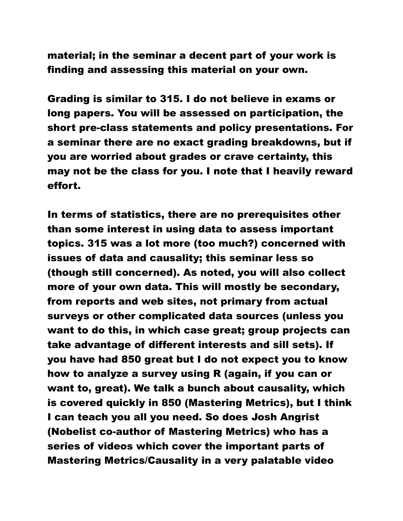material; in the seminar a decent part of your work is finding and assessing this material on your own.

Grading is similar to 315. I do not believe in exams or long papers. You will be assessed on participation, the short pre-class statements and policy presentations. For a seminar there are no exact grading breakdowns, but if you are worried about grades or crave certainty, this may not be the class for you. I note that I heavily reward effort.

In terms of statistics, there are no prerequisites other than some interest in using data to assess important topics. 315 was a lot more (too much?) concerned with issues of data and causality; this seminar less so (though still concerned). As noted, you will also collect more of your own data. This will mostly be secondary, from reports and web sites, not primary from actual surveys or other complicated data sources (unless you want to do this, in which case great; group projects can take advantage of different interests and sill sets). If you have had 850 great but I do not expect you to know how to analyze a survey using R (again, if you can or want to, great). We talk a bunch about causality, which is covered quickly in 850 (Mastering Metrics), but I think I can teach you all you need. So does Josh Angrist (Nobelist co-author of Mastering Metrics) who has a series of videos which cover the important parts of Mastering Metrics/Causality in a very palatable video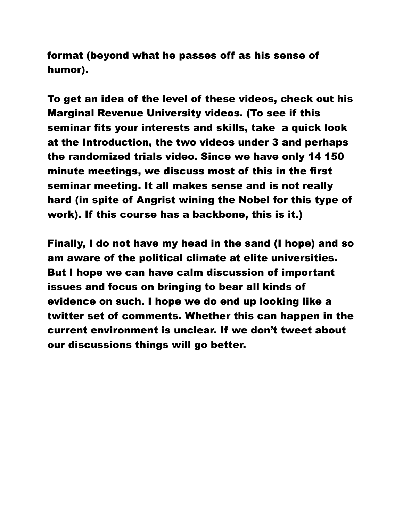format (beyond what he passes off as his sense of humor).

To get an idea of the level of these videos, check out his Marginal Revenue University [videos.](https://mru.org/mastering-econometrics-joshua-angrist) (To see if this seminar fits your interests and skills, take a quick look at the Introduction, the two videos under 3 and perhaps the randomized trials video. Since we have only 14 150 minute meetings, we discuss most of this in the first seminar meeting. It all makes sense and is not really hard (in spite of Angrist wining the Nobel for this type of work). If this course has a backbone, this is it.)

Finally, I do not have my head in the sand (I hope) and so am aware of the political climate at elite universities. But I hope we can have calm discussion of important issues and focus on bringing to bear all kinds of evidence on such. I hope we do end up looking like a twitter set of comments. Whether this can happen in the current environment is unclear. If we don't tweet about our discussions things will go better.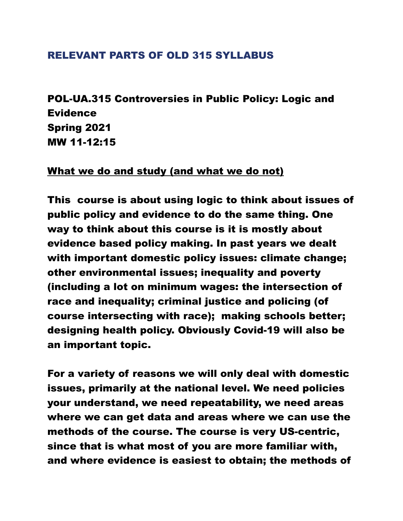## RELEVANT PARTS OF OLD 315 SYLLABUS

POL-UA.315 Controversies in Public Policy: Logic and **Evidence** Spring 2021 MW 11-12:15

## What we do and study (and what we do not)

This course is about using logic to think about issues of public policy and evidence to do the same thing. One way to think about this course is it is mostly about evidence based policy making. In past years we dealt with important domestic policy issues: climate change; other environmental issues; inequality and poverty (including a lot on minimum wages: the intersection of race and inequality; criminal justice and policing (of course intersecting with race); making schools better; designing health policy. Obviously Covid-19 will also be an important topic.

For a variety of reasons we will only deal with domestic issues, primarily at the national level. We need policies your understand, we need repeatability, we need areas where we can get data and areas where we can use the methods of the course. The course is very US-centric, since that is what most of you are more familiar with, and where evidence is easiest to obtain; the methods of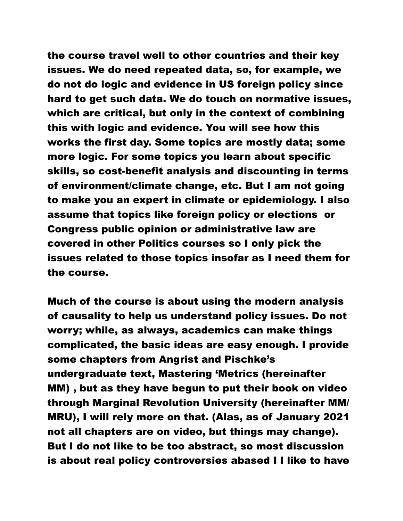the course travel well to other countries and their key issues. We do need repeated data, so, for example, we do not do logic and evidence in US foreign policy since hard to get such data. We do touch on normative issues, which are critical, but only in the context of combining this with logic and evidence. You will see how this works the first day. Some topics are mostly data; some more logic. For some topics you learn about specific skills, so cost-benefit analysis and discounting in terms of environment/climate change, etc. But I am not going to make you an expert in climate or epidemiology. I also assume that topics like foreign policy or elections or Congress public opinion or administrative law are covered in other Politics courses so I only pick the issues related to those topics insofar as I need them for the course.

Much of the course is about using the modern analysis of causality to help us understand policy issues. Do not worry; while, as always, academics can make things complicated, the basic ideas are easy enough. I provide some chapters from Angrist and Pischke's undergraduate text, Mastering 'Metrics (hereinafter MM) , but as they have begun to put their book on video through Marginal Revolution University (hereinafter MM/ MRU), I will rely more on that. (Alas, as of January 2021 not all chapters are on video, but things may change). But I do not like to be too abstract, so most discussion is about real policy controversies abased I l like to have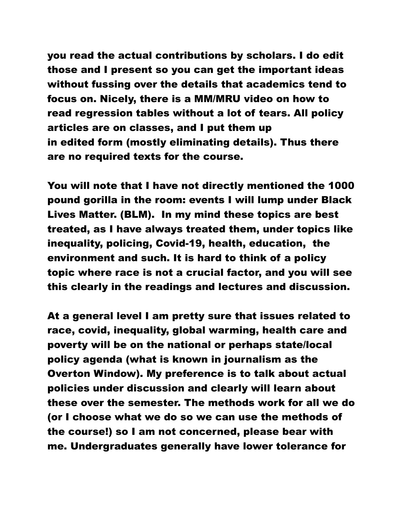you read the actual contributions by scholars. I do edit those and I present so you can get the important ideas without fussing over the details that academics tend to focus on. Nicely, there is a MM/MRU video on how to read regression tables without a lot of tears. All policy articles are on classes, and I put them up in edited form (mostly eliminating details). Thus there are no required texts for the course.

You will note that I have not directly mentioned the 1000 pound gorilla in the room: events I will lump under Black Lives Matter. (BLM). In my mind these topics are best treated, as I have always treated them, under topics like inequality, policing, Covid-19, health, education, the environment and such. It is hard to think of a policy topic where race is not a crucial factor, and you will see this clearly in the readings and lectures and discussion.

At a general level I am pretty sure that issues related to race, covid, inequality, global warming, health care and poverty will be on the national or perhaps state/local policy agenda (what is known in journalism as the Overton Window). My preference is to talk about actual policies under discussion and clearly will learn about these over the semester. The methods work for all we do (or I choose what we do so we can use the methods of the course!) so I am not concerned, please bear with me. Undergraduates generally have lower tolerance for